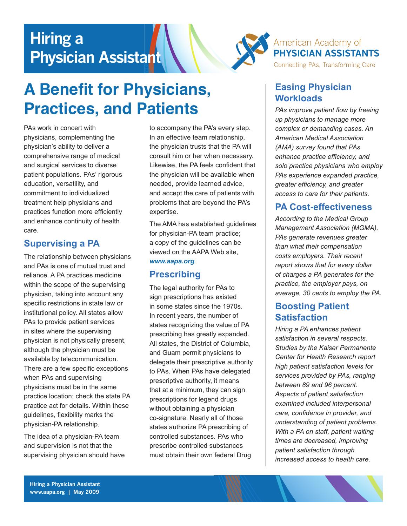# **Hiring a Physician Assistant**



# **A Benefit for Physicians, Practices, and Patients**

PAs work in concert with physicians, complementing the physician's ability to deliver a comprehensive range of medical and surgical services to diverse patient populations. PAs' rigorous education, versatility, and commitment to individualized treatment help physicians and practices function more efficiently and enhance continuity of health care.

### **Supervising a PA**

The relationship between physicians and PAs is one of mutual trust and reliance. A PA practices medicine within the scope of the supervising physician, taking into account any specific restrictions in state law or institutional policy. All states allow PAs to provide patient services in sites where the supervising physician is not physically present, although the physician must be available by telecommunication. There are a few specific exceptions when PAs and supervising physicians must be in the same practice location; check the state PA practice act for details. Within these guidelines, flexibility marks the physician-PA relationship.

The idea of a physician-PA team and supervision is not that the supervising physician should have to accompany the PA's every step. In an effective team relationship, the physician trusts that the PA will consult him or her when necessary. Likewise, the PA feels confident that the physician will be available when needed, provide learned advice, and accept the care of patients with problems that are beyond the PA's expertise.

The AMA has established guidelines for physician-PA team practice; a copy of the guidelines can be viewed on the AAPA Web site, *[www.aapa.org](http://www.aapa.org/).*

# **Prescribing**

The legal authority for PAs to sign prescriptions has existed in some states since the 1970s. In recent years, the number of states recognizing the value of PA prescribing has greatly expanded. All states, the District of Columbia, and Guam permit physicians to delegate their prescriptive authority to PAs. When PAs have delegated prescriptive authority, it means that at a minimum, they can sign prescriptions for legend drugs without obtaining a physician co-signature. Nearly all of those states authorize PA prescribing of controlled substances. PAs who prescribe controlled substances must obtain their own federal Drug

#### **Easing Physician Workloads**

*PAs improve patient flow by freeing up physicians to manage more complex or demanding cases. An American Medical Association (AMA) survey found that PAs enhance practice efficiency, and solo practice physicians who employ PAs experience expanded practice, greater efficiency, and greater access to care for their patients.*

# **PA Cost-effectiveness**

*According to the Medical Group Management Association (MGMA), PAs generate revenues greater than what their compensation costs employers. Their recent report shows that for every dollar of charges a PA generates for the practice, the employer pays, on average, 30 cents to employ the PA.*

### **Boosting Patient Satisfaction**

*Hiring a PA enhances patient satisfaction in several respects. Studies by the Kaiser Permanente Center for Health Research report high patient satisfaction levels for services provided by PAs, ranging between 89 and 96 percent. Aspects of patient satisfaction examined included interpersonal care, confidence in provider, and understanding of patient problems. With a PA on staff, patient waiting times are decreased, improving patient satisfaction through increased access to health care.*